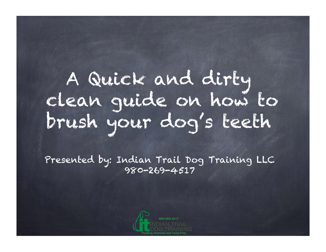A Quick and dirty clean guide on how to brush your dog's teeth

Presented by: Indian Trail Dog Training LLC 980-269-4517

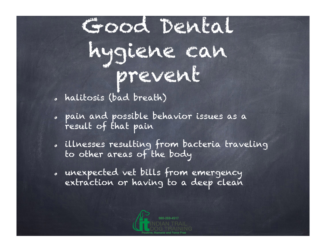Good Dental hygiene can prevent

- halitosis (bad breath)
- pain and possible behavior issues as a result of that pain
- illnesses resulting from bacteria traveling to other areas of the body
- unexpected vet bills from emergency extraction or having to a deep clean

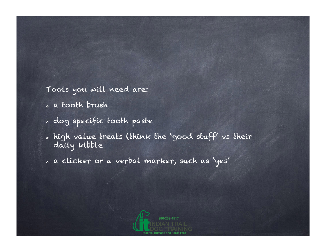Tools you will need are:

- a tooth brush
- dog specific tooth paste
- high value treats (think the 'good stuff' vs their daily kibble
- a clicker or a verbal marker, such as 'yes'

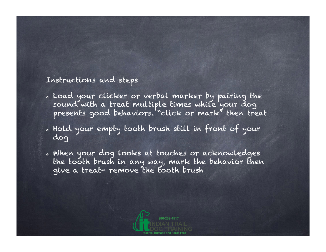## Instructions and steps

- Load your clicker or verbal marker by pairing the sound with a treat multiple times while your dog presents good behaviors. "click or mark" then treat
- Hold your empty tooth brush still in front of your dog
- When your dog looks at touches or acknowledges the tooth brush in any way, mark the behavior then give a treat- remove the tooth brush

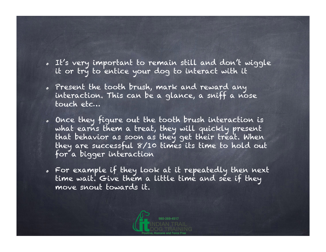- It's very important to remain still and don't wiggle it or try to entice your dog to interact with it
- Present the tooth brush, mark and reward any interaction. This can be a glance, a sniff a nose touch etc…
- Once they figure out the tooth brush interaction is what earns them a treat, they will quickly present that behavior as soon as they get their treat. When they are successful 8/10 times its time to hold out for a bigger interaction
- For example if they look at it repeatedly then next time wait. Give them a little time and see if they move snout towards it.

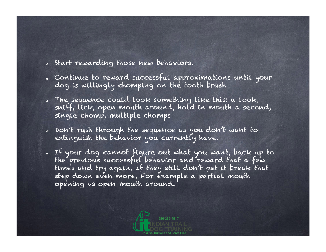- Start rewarding those new behaviors.
- Continue to reward successful approximations until your dog is willingly chomping on the tooth brush
- The sequence could look something like this: a look, sniff, lick, open mouth around, hold in mouth a second, single chomp, multiple chomps
- Don't rush through the sequence as you don't want to extinguish the behavior you currently have.
- If your dog cannot figure out what you want, back up to the previous successful behavior and reward that a few times and try again. If they still don't get it break that step down even more. For example a partial mouth opening vs open mouth around.

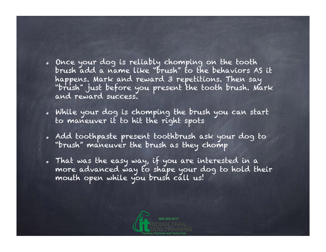- Once your dog is reliably chomping on the tooth brush add a name like "brush" to the behaviors AS it happens. Mark and reward 3 repetitions. Then say "brush" just before you present the tooth brush. Mark and reward success.
- While your dog is chomping the brush you can start to maneuver it to hit the right spots
- Add toothpaste present toothbrush ask your dog to "brush" maneuver the brush as they chomp
- That was the easy way, if you are interested in a more advanced way to shape your dog to hold their mouth open while you brush call us!